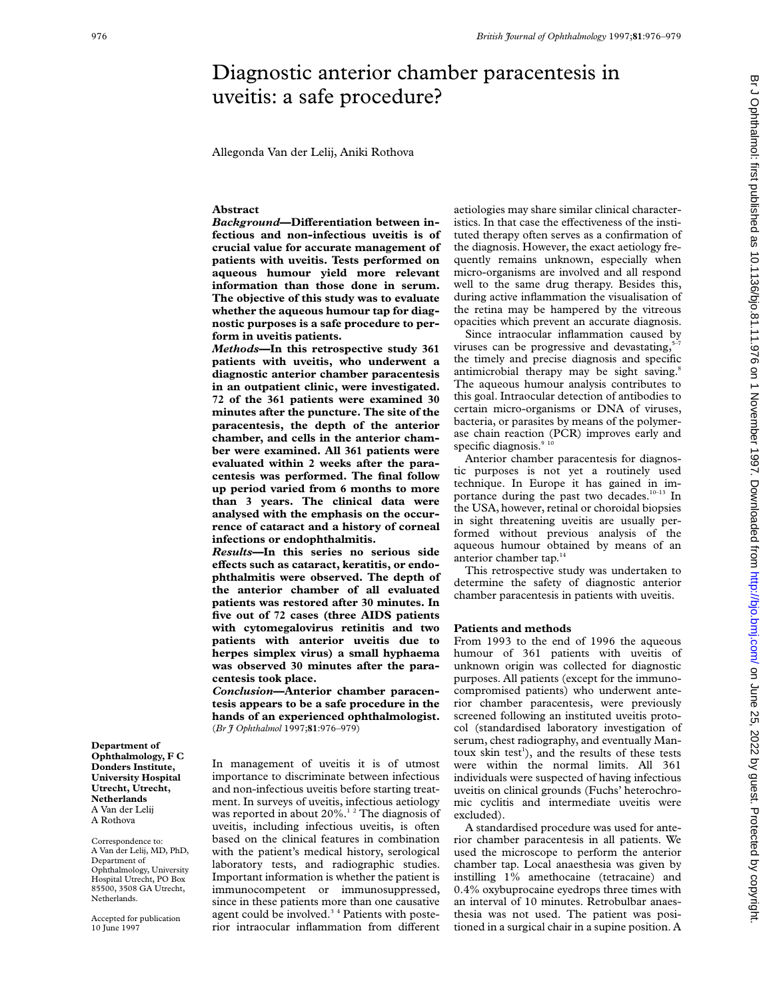# Diagnostic anterior chamber paracentesis in uveitis: a safe procedure?

Allegonda Van der Lelij, Aniki Rothova

## **Abstract**

Background-Differentiation between in**fectious and non-infectious uveitis is of crucial value for accurate management of patients with uveitis. Tests performed on aqueous humour yield more relevant information than those done in serum. The objective of this study was to evaluate whether the aqueous humour tap for diagnostic purposes is a safe procedure to perform in uveitis patients.**

*Methods***—In this retrospective study 361 patients with uveitis, who underwent a diagnostic anterior chamber paracentesis in an outpatient clinic, were investigated. 72 of the 361 patients were examined 30 minutes after the puncture. The site of the paracentesis, the depth of the anterior chamber, and cells in the anterior chamber were examined. All 361 patients were evaluated within 2 weeks after the paracentesis was performed. The final follow up period varied from 6 months to more than 3 years. The clinical data were analysed with the emphasis on the occurrence of cataract and a history of corneal infections or endophthalmitis.**

*Results***—In this series no serious side** effects such as cataract, keratitis, or endo**phthalmitis were observed. The depth of the anterior chamber of all evaluated patients was restored after 30 minutes. In five out of 72 cases (three AIDS patients with cytomegalovirus retinitis and two patients with anterior uveitis due to herpes simplex virus) a small hyphaema was observed 30 minutes after the paracentesis took place.**

*Conclusion***—Anterior chamber paracentesis appears to be a safe procedure in the hands of an experienced ophthalmologist.** (*Br J Ophthalmol* 1997;**81**:976–979)

In management of uveitis it is of utmost importance to discriminate between infectious and non-infectious uveitis before starting treatment. In surveys of uveitis, infectious aetiology was reported in about 20%.<sup>12</sup> The diagnosis of uveitis, including infectious uveitis, is often based on the clinical features in combination with the patient's medical history, serological laboratory tests, and radiographic studies. Important information is whether the patient is immunocompetent or immunosuppressed, since in these patients more than one causative agent could be involved.<sup>34</sup> Patients with posterior intraocular inflammation from different

aetiologies may share similar clinical characteristics. In that case the effectiveness of the instituted therapy often serves as a confirmation of the diagnosis. However, the exact aetiology frequently remains unknown, especially when micro-organisms are involved and all respond well to the same drug therapy. Besides this, during active inflammation the visualisation of the retina may be hampered by the vitreous opacities which prevent an accurate diagnosis.

Since intraocular inflammation caused by viruses can be progressive and devastating, the timely and precise diagnosis and specific antimicrobial therapy may be sight saving.<sup>8</sup> The aqueous humour analysis contributes to this goal. Intraocular detection of antibodies to certain micro-organisms or DNA of viruses, bacteria, or parasites by means of the polymerase chain reaction (PCR) improves early and specific diagnosis.<sup>9 10</sup>

Anterior chamber paracentesis for diagnostic purposes is not yet a routinely used technique. In Europe it has gained in importance during the past two decades.<sup>10-13</sup> In the USA, however, retinal or choroidal biopsies in sight threatening uveitis are usually performed without previous analysis of the aqueous humour obtained by means of an anterior chamber tap.<sup>14</sup>

This retrospective study was undertaken to determine the safety of diagnostic anterior chamber paracentesis in patients with uveitis.

#### **Patients and methods**

From 1993 to the end of 1996 the aqueous humour of 361 patients with uveitis of unknown origin was collected for diagnostic purposes. All patients (except for the immunocompromised patients) who underwent anterior chamber paracentesis, were previously screened following an instituted uveitis protocol (standardised laboratory investigation of serum, chest radiography, and eventually Mantoux skin test<sup>1</sup>), and the results of these tests were within the normal limits. All 361 individuals were suspected of having infectious uveitis on clinical grounds (Fuchs' heterochromic cyclitis and intermediate uveitis were excluded).

A standardised procedure was used for anterior chamber paracentesis in all patients. We used the microscope to perform the anterior chamber tap. Local anaesthesia was given by instilling 1% amethocaine (tetracaine) and 0.4% oxybuprocaine eyedrops three times with an interval of 10 minutes. Retrobulbar anaesthesia was not used. The patient was positioned in a surgical chair in a supine position. A

Br J Ophthalmol: first published as 10.11186/bjo.81.11.976 on 1 November 1997. Downloaded from http://bjo.bmj.com/ on June 25, 2022 by guest. Protected by copyright on June 25, 2022 by guest. Protected by copyright. Http://bjo.bmj.com/ Br J Ophthalmol: first published as 10.027. Downloaded from Http://bjo.bmj.com/ on June 25, 2022 Downloaded by and <http://bjo.bmj.com/> on June 25, 2022

**Department of Ophthalmology, F C Donders Institute, University Hospital Utrecht, Utrecht, Netherlands** A Van der Lelij A Rothova

Correspondence to: A Van der Lelij, MD, PhD, Department of Ophthalmology, University Hospital Utrecht, PO Box 85500, 3508 GA Utrecht, Netherlands.

Accepted for publication 10 June 1997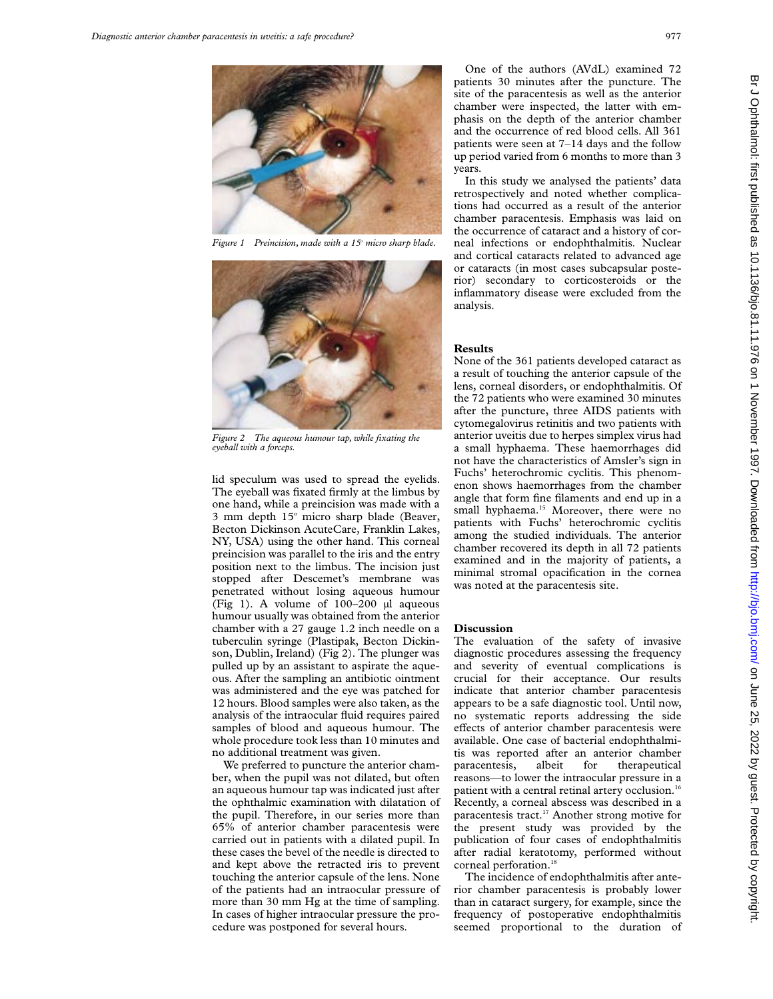

*Figure 1 Preincision, made with a 15o micro sharp blade.*



*Figure 2 The aqueous humour tap, while fixating the eyeball with a forceps.*

lid speculum was used to spread the eyelids. The eyeball was fixated firmly at the limbus by one hand, while a preincision was made with a  $3$  mm depth  $15^\circ$  micro sharp blade (Beaver, Becton Dickinson AcuteCare, Franklin Lakes, NY, USA) using the other hand. This corneal preincision was parallel to the iris and the entry position next to the limbus. The incision just stopped after Descemet's membrane was penetrated without losing aqueous humour (Fig 1). A volume of  $100-200$  µl aqueous humour usually was obtained from the anterior chamber with a 27 gauge 1.2 inch needle on a tuberculin syringe (Plastipak, Becton Dickinson, Dublin, Ireland) (Fig 2). The plunger was pulled up by an assistant to aspirate the aqueous. After the sampling an antibiotic ointment was administered and the eye was patched for 12 hours. Blood samples were also taken, as the analysis of the intraocular fluid requires paired samples of blood and aqueous humour. The whole procedure took less than 10 minutes and no additional treatment was given.

We preferred to puncture the anterior chamber, when the pupil was not dilated, but often an aqueous humour tap was indicated just after the ophthalmic examination with dilatation of the pupil. Therefore, in our series more than 65% of anterior chamber paracentesis were carried out in patients with a dilated pupil. In these cases the bevel of the needle is directed to and kept above the retracted iris to prevent touching the anterior capsule of the lens. None of the patients had an intraocular pressure of more than 30 mm Hg at the time of sampling. In cases of higher intraocular pressure the procedure was postponed for several hours.

One of the authors (AVdL) examined 72 patients 30 minutes after the puncture. The site of the paracentesis as well as the anterior chamber were inspected, the latter with emphasis on the depth of the anterior chamber and the occurrence of red blood cells. All 361 patients were seen at 7–14 days and the follow up period varied from 6 months to more than 3 years.

In this study we analysed the patients' data retrospectively and noted whether complications had occurred as a result of the anterior chamber paracentesis. Emphasis was laid on the occurrence of cataract and a history of corneal infections or endophthalmitis. Nuclear and cortical cataracts related to advanced age or cataracts (in most cases subcapsular posterior) secondary to corticosteroids or the inflammatory disease were excluded from the analysis.

### **Results**

None of the 361 patients developed cataract as a result of touching the anterior capsule of the lens, corneal disorders, or endophthalmitis. Of the 72 patients who were examined 30 minutes after the puncture, three AIDS patients with cytomegalovirus retinitis and two patients with anterior uveitis due to herpes simplex virus had a small hyphaema. These haemorrhages did not have the characteristics of Amsler's sign in Fuchs' heterochromic cyclitis. This phenomenon shows haemorrhages from the chamber angle that form fine filaments and end up in a small hyphaema.<sup>15</sup> Moreover, there were no patients with Fuchs' heterochromic cyclitis among the studied individuals. The anterior chamber recovered its depth in all 72 patients examined and in the majority of patients, a minimal stromal opacification in the cornea was noted at the paracentesis site.

#### **Discussion**

The evaluation of the safety of invasive diagnostic procedures assessing the frequency and severity of eventual complications is crucial for their acceptance. Our results indicate that anterior chamber paracentesis appears to be a safe diagnostic tool. Until now, no systematic reports addressing the side effects of anterior chamber paracentesis were available. One case of bacterial endophthalmitis was reported after an anterior chamber paracentesis, albeit for therapeutical reasons—to lower the intraocular pressure in a patient with a central retinal artery occlusion.<sup>16</sup> Recently, a corneal abscess was described in a paracentesis tract.17 Another strong motive for the present study was provided by the publication of four cases of endophthalmitis after radial keratotomy, performed without corneal perforation.<sup>18</sup>

The incidence of endophthalmitis after anterior chamber paracentesis is probably lower than in cataract surgery, for example, since the frequency of postoperative endophthalmitis seemed proportional to the duration of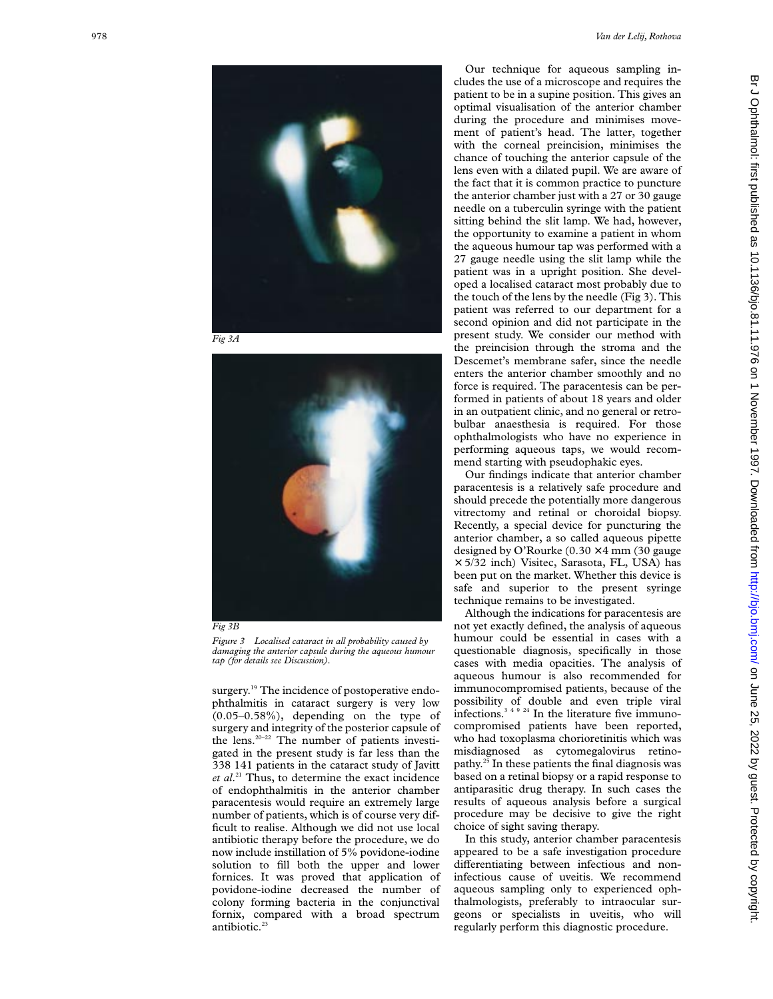

*Fig 3A*



*Fig 3B*

*Figure 3 Localised cataract in all probability caused by damaging the anterior capsule during the aqueous humour tap (for details see Discussion).*

surgery.<sup>19</sup> The incidence of postoperative endophthalmitis in cataract surgery is very low  $(0.05-0.58\%)$ , depending on the type of surgery and integrity of the posterior capsule of the lens.20–22 The number of patients investigated in the present study is far less than the 338 141 patients in the cataract study of Javitt et al.<sup>21</sup> Thus, to determine the exact incidence of endophthalmitis in the anterior chamber paracentesis would require an extremely large number of patients, which is of course very difficult to realise. Although we did not use local antibiotic therapy before the procedure, we do now include instillation of 5% povidone-iodine solution to fill both the upper and lower fornices. It was proved that application of povidone-iodine decreased the number of colony forming bacteria in the conjunctival fornix, compared with a broad spectrum antibiotic.<sup>23</sup>

Our technique for aqueous sampling includes the use of a microscope and requires the patient to be in a supine position. This gives an optimal visualisation of the anterior chamber during the procedure and minimises movement of patient's head. The latter, together with the corneal preincision, minimises the chance of touching the anterior capsule of the lens even with a dilated pupil. We are aware of the fact that it is common practice to puncture the anterior chamber just with a 27 or 30 gauge needle on a tuberculin syringe with the patient sitting behind the slit lamp. We had, however, the opportunity to examine a patient in whom the aqueous humour tap was performed with a 27 gauge needle using the slit lamp while the patient was in a upright position. She developed a localised cataract most probably due to the touch of the lens by the needle (Fig 3). This patient was referred to our department for a second opinion and did not participate in the present study. We consider our method with the preincision through the stroma and the Descemet's membrane safer, since the needle enters the anterior chamber smoothly and no force is required. The paracentesis can be performed in patients of about 18 years and older in an outpatient clinic, and no general or retrobulbar anaesthesia is required. For those ophthalmologists who have no experience in performing aqueous taps, we would recommend starting with pseudophakic eyes.

Our findings indicate that anterior chamber paracentesis is a relatively safe procedure and should precede the potentially more dangerous vitrectomy and retinal or choroidal biopsy. Recently, a special device for puncturing the anterior chamber, a so called aqueous pipette designed by O'Rourke  $(0.30 \times 4 \text{ mm } (30 \text{ gauge})$ × 5/32 inch) Visitec, Sarasota, FL, USA) has been put on the market. Whether this device is safe and superior to the present syringe technique remains to be investigated.

Although the indications for paracentesis are not yet exactly defined, the analysis of aqueous humour could be essential in cases with a questionable diagnosis, specifically in those cases with media opacities. The analysis of aqueous humour is also recommended for immunocompromised patients, because of the possibility of double and even triple viral infections.3 4 9 24 In the literature five immunocompromised patients have been reported, who had toxoplasma chorioretinitis which was misdiagnosed as cytomegalovirus retinopathy. $25$  In these patients the final diagnosis was based on a retinal biopsy or a rapid response to antiparasitic drug therapy. In such cases the results of aqueous analysis before a surgical procedure may be decisive to give the right choice of sight saving therapy.

In this study, anterior chamber paracentesis appeared to be a safe investigation procedure differentiating between infectious and noninfectious cause of uveitis. We recommend aqueous sampling only to experienced ophthalmologists, preferably to intraocular surgeons or specialists in uveitis, who will regularly perform this diagnostic procedure.